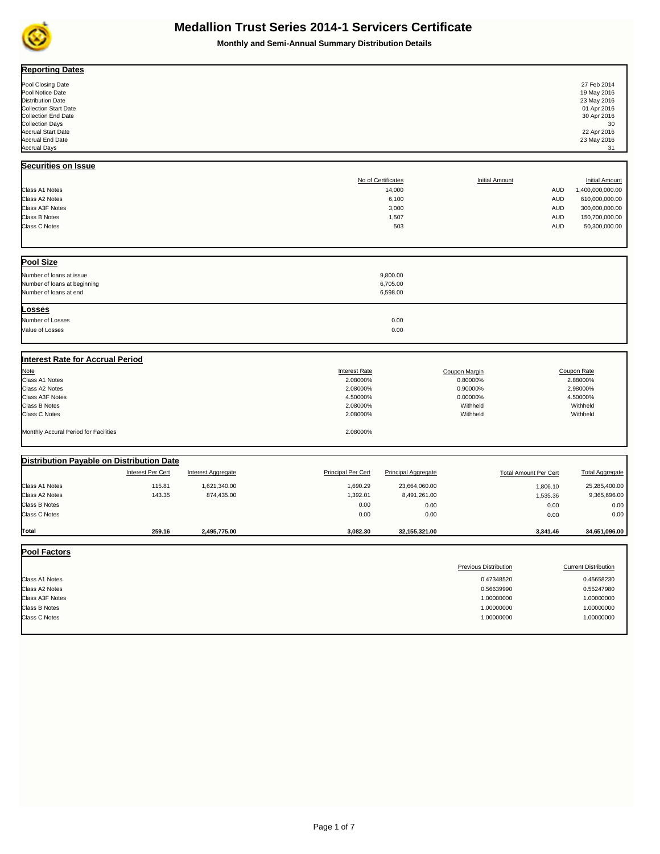

**Monthly and Semi-Annual Summary Distribution Details**

| <b>Reporting Dates</b>                                                                                                                                                                                                                   |                                                         |                                                                                              |                                                                             |                                                                                                    |                                                                    |                                                                                                                   |
|------------------------------------------------------------------------------------------------------------------------------------------------------------------------------------------------------------------------------------------|---------------------------------------------------------|----------------------------------------------------------------------------------------------|-----------------------------------------------------------------------------|----------------------------------------------------------------------------------------------------|--------------------------------------------------------------------|-------------------------------------------------------------------------------------------------------------------|
| Pool Closing Date<br>Pool Notice Date<br><b>Distribution Date</b><br><b>Collection Start Date</b><br><b>Collection End Date</b><br><b>Collection Days</b><br><b>Accrual Start Date</b><br><b>Accrual End Date</b><br><b>Accrual Days</b> |                                                         |                                                                                              |                                                                             |                                                                                                    |                                                                    | 27 Feb 2014<br>19 May 2016<br>23 May 2016<br>01 Apr 2016<br>30 Apr 2016<br>30<br>22 Apr 2016<br>23 May 2016<br>31 |
| Securities on Issue                                                                                                                                                                                                                      |                                                         |                                                                                              |                                                                             |                                                                                                    |                                                                    |                                                                                                                   |
| Class A1 Notes<br>Class A2 Notes<br>Class A3F Notes<br><b>Class B Notes</b><br>Class C Notes                                                                                                                                             |                                                         |                                                                                              | No of Certificates<br>14,000<br>6,100<br>3,000<br>1,507<br>503              | <b>Initial Amount</b>                                                                              | <b>AUD</b><br><b>AUD</b><br><b>AUD</b><br><b>AUD</b><br><b>AUD</b> | <b>Initial Amount</b><br>1,400,000,000.00<br>610,000,000.00<br>300,000,000.00<br>150,700,000.00<br>50,300,000.00  |
| <b>Pool Size</b><br>Number of loans at issue<br>Number of loans at beginning<br>Number of loans at end                                                                                                                                   |                                                         |                                                                                              | 9,800.00<br>6,705.00<br>6,598.00                                            |                                                                                                    |                                                                    |                                                                                                                   |
| Losses<br>Number of Losses<br>Value of Losses                                                                                                                                                                                            |                                                         |                                                                                              | 0.00<br>0.00                                                                |                                                                                                    |                                                                    |                                                                                                                   |
| Interest Rate for Accrual Period<br><b>Note</b><br>Class A1 Notes<br>Class A2 Notes<br><b>Class A3F Notes</b><br><b>Class B Notes</b><br>Class C Notes<br>Monthly Accural Period for Facilities                                          |                                                         | <b>Interest Rate</b><br>2.08000%<br>2.08000%<br>4.50000%<br>2.08000%<br>2.08000%<br>2.08000% |                                                                             | Coupon Margin<br>0.80000%<br>0.90000%<br>0.00000%<br>Withheld<br>Withheld                          |                                                                    | Coupon Rate<br>2.88000%<br>2.98000%<br>4.50000%<br>Withheld<br>Withheld                                           |
| Distribution Payable on Distribution Date                                                                                                                                                                                                |                                                         |                                                                                              |                                                                             |                                                                                                    |                                                                    |                                                                                                                   |
| <b>Interest Per Cert</b><br>Class A1 Notes<br>115.81<br>Class A2 Notes<br>143.35<br>Class B Notes<br><b>Class C Notes</b>                                                                                                                | <b>Interest Aggregate</b><br>1,621,340.00<br>874,435.00 | <b>Principal Per Cert</b><br>1,690.29<br>1,392.01<br>0.00<br>0.00                            | <b>Principal Aggregate</b><br>23,664,060.00<br>8,491,261.00<br>0.00<br>0.00 | <b>Total Amount Per Cert</b>                                                                       | 1,806.10<br>1,535.36<br>0.00<br>0.00                               | <b>Total Aggregate</b><br>25,285,400.00<br>9,365,696.00<br>0.00<br>0.00                                           |
| Total<br>259.16                                                                                                                                                                                                                          | 2,495,775.00                                            | 3,082.30                                                                                     | 32,155,321.00                                                               |                                                                                                    | 3,341.46                                                           | 34,651,096.00                                                                                                     |
| <b>Pool Factors</b><br>Class A1 Notes<br>Class A2 Notes<br><b>Class A3F Notes</b><br><b>Class B Notes</b><br><b>Class C Notes</b>                                                                                                        |                                                         |                                                                                              |                                                                             | <b>Previous Distribution</b><br>0.47348520<br>0.56639990<br>1.00000000<br>1.00000000<br>1.00000000 |                                                                    | <b>Current Distribution</b><br>0.45658230<br>0.55247980<br>1.00000000<br>1.00000000<br>1.00000000                 |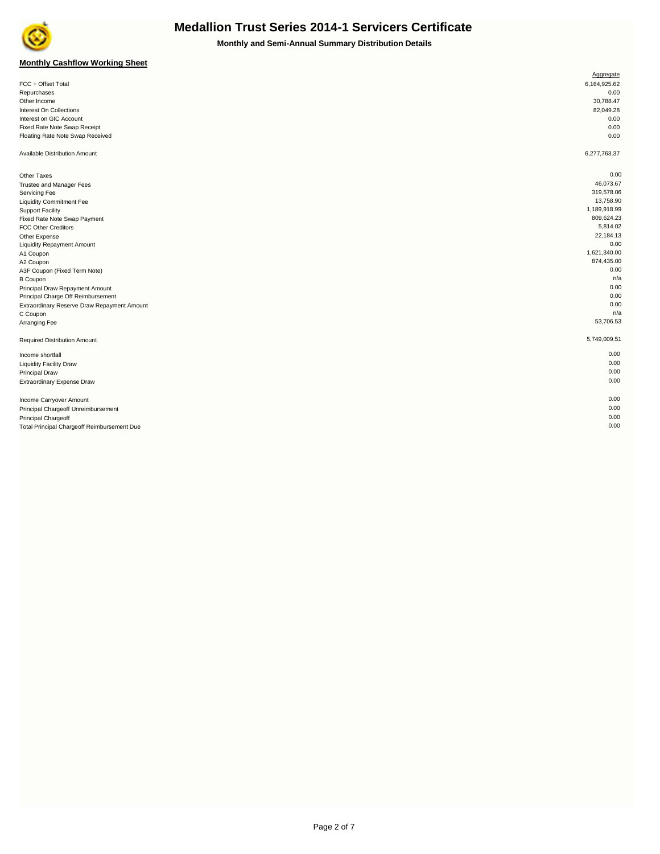

**Monthly and Semi-Annual Summary Distribution Details**

#### **Monthly Cashflow Working Sheet**

|                                             | Aggregate    |
|---------------------------------------------|--------------|
| FCC + Offset Total                          | 6,164,925.62 |
| Repurchases                                 | 0.00         |
| Other Income                                | 30,788.47    |
| Interest On Collections                     | 82,049.28    |
| Interest on GIC Account                     | 0.00         |
| Fixed Rate Note Swap Receipt                | 0.00         |
| Floating Rate Note Swap Received            | 0.00         |
| Available Distribution Amount               | 6,277,763.37 |
| Other Taxes                                 | 0.00         |
| Trustee and Manager Fees                    | 46,073.67    |
| Servicing Fee                               | 319,578.06   |
| <b>Liquidity Commitment Fee</b>             | 13,758.90    |
| <b>Support Facility</b>                     | 1,189,918.99 |
| Fixed Rate Note Swap Payment                | 809,624.23   |
| <b>FCC Other Creditors</b>                  | 5,814.02     |
| Other Expense                               | 22,184.13    |
| <b>Liquidity Repayment Amount</b>           | 0.00         |
| A1 Coupon                                   | 1,621,340.00 |
| A2 Coupon                                   | 874,435.00   |
| A3F Coupon (Fixed Term Note)                | 0.00         |
| <b>B</b> Coupon                             | n/a          |
| Principal Draw Repayment Amount             | 0.00         |
| Principal Charge Off Reimbursement          | 0.00         |
| Extraordinary Reserve Draw Repayment Amount | 0.00         |
| C Coupon                                    | n/a          |
| Arranging Fee                               | 53,706.53    |
| Required Distribution Amount                | 5,749,009.51 |
| Income shortfall                            | 0.00         |
| <b>Liquidity Facility Draw</b>              | 0.00         |
| <b>Principal Draw</b>                       | 0.00         |
| Extraordinary Expense Draw                  | 0.00         |
| Income Carryover Amount                     | 0.00         |
| Principal Chargeoff Unreimbursement         | 0.00         |
| Principal Chargeoff                         | 0.00         |
| Total Principal Chargeoff Reimbursement Due | 0.00         |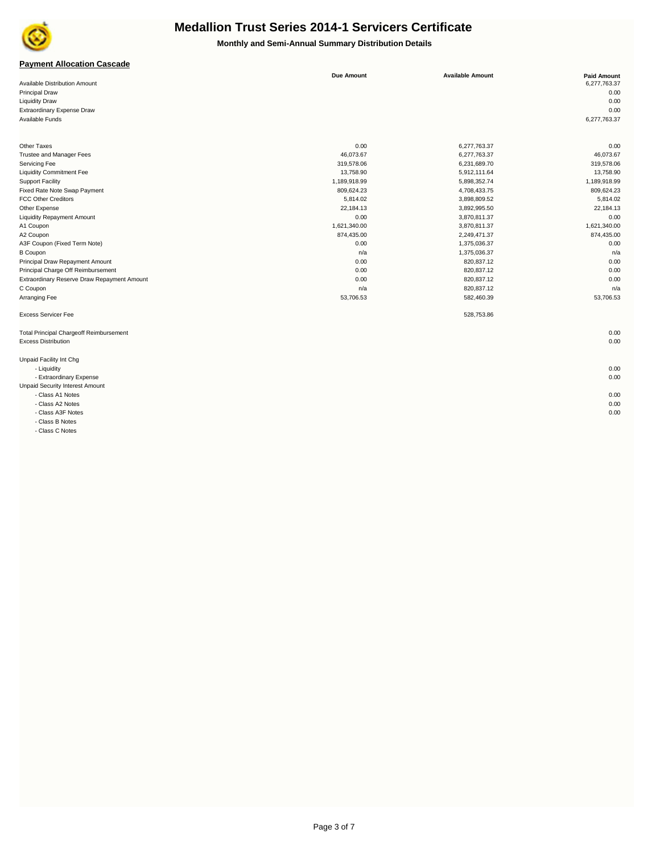

**Monthly and Semi-Annual Summary Distribution Details**

#### **Payment Allocation Cascade**

|                                                | <b>Due Amount</b> | <b>Available Amount</b> | <b>Paid Amount</b> |
|------------------------------------------------|-------------------|-------------------------|--------------------|
| <b>Available Distribution Amount</b>           |                   |                         | 6,277,763.37       |
| <b>Principal Draw</b>                          |                   |                         | 0.00               |
| <b>Liquidity Draw</b>                          |                   |                         | 0.00               |
| Extraordinary Expense Draw                     |                   |                         | 0.00               |
| Available Funds                                |                   |                         | 6,277,763.37       |
| Other Taxes                                    | 0.00              | 6,277,763.37            | 0.00               |
| <b>Trustee and Manager Fees</b>                | 46,073.67         | 6,277,763.37            | 46,073.67          |
| Servicing Fee                                  | 319,578.06        | 6,231,689.70            | 319,578.06         |
| <b>Liquidity Commitment Fee</b>                | 13,758.90         | 5,912,111.64            | 13,758.90          |
| <b>Support Facility</b>                        | 1,189,918.99      | 5,898,352.74            | 1,189,918.99       |
| Fixed Rate Note Swap Payment                   | 809,624.23        | 4,708,433.75            | 809,624.23         |
| <b>FCC Other Creditors</b>                     | 5,814.02          | 3,898,809.52            | 5,814.02           |
| Other Expense                                  | 22,184.13         | 3,892,995.50            | 22,184.13          |
| <b>Liquidity Repayment Amount</b>              | 0.00              | 3,870,811.37            | 0.00               |
| A1 Coupon                                      | 1,621,340.00      | 3,870,811.37            | 1,621,340.00       |
| A2 Coupon                                      | 874,435.00        | 2,249,471.37            | 874,435.00         |
| A3F Coupon (Fixed Term Note)                   | 0.00              | 1,375,036.37            | 0.00               |
| <b>B</b> Coupon                                | n/a               | 1,375,036.37            | n/a                |
| Principal Draw Repayment Amount                | 0.00              | 820,837.12              | 0.00               |
| Principal Charge Off Reimbursement             | 0.00              | 820,837.12              | 0.00               |
| Extraordinary Reserve Draw Repayment Amount    | 0.00              | 820,837.12              | 0.00               |
| C Coupon                                       | n/a               | 820,837.12              | n/a                |
| Arranging Fee                                  | 53,706.53         | 582,460.39              | 53,706.53          |
| <b>Excess Servicer Fee</b>                     |                   | 528,753.86              |                    |
| <b>Total Principal Chargeoff Reimbursement</b> |                   |                         | 0.00               |
| <b>Excess Distribution</b>                     |                   |                         | 0.00               |

Unpaid Facility Int Chg

 - Liquidity 0.00 - Extraordinary Expense 0.00

Unpaid Security Interest Amount

- Class A1 Notes 0.00

- Class A2 Notes 0.00

- Class A3F Notes 0.00

 - Class B Notes - Class C Notes

Page 3 of 7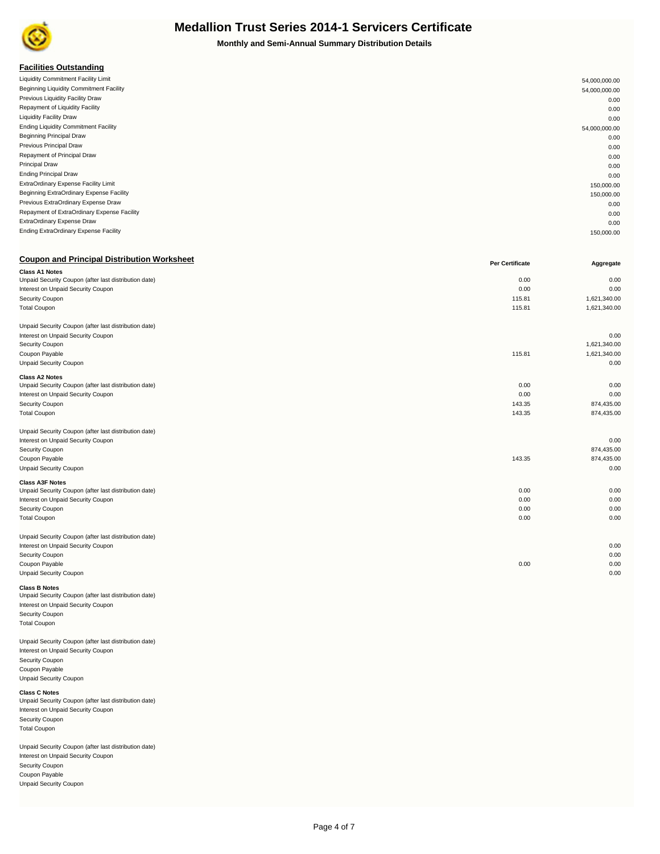

**Monthly and Semi-Annual Summary Distribution Details**

| <b>Facilities Outstanding</b>               |               |
|---------------------------------------------|---------------|
| Liquidity Commitment Facility Limit         | 54,000,000.00 |
| Beginning Liquidity Commitment Facility     | 54,000,000.00 |
| Previous Liquidity Facility Draw            | 0.00          |
| Repayment of Liquidity Facility             | 0.00          |
| <b>Liquidity Facility Draw</b>              | 0.00          |
| <b>Ending Liquidity Commitment Facility</b> | 54,000,000.00 |
| <b>Beginning Principal Draw</b>             | 0.00          |
| Previous Principal Draw                     | 0.00          |
| Repayment of Principal Draw                 | 0.00          |
| <b>Principal Draw</b>                       | 0.00          |
| <b>Ending Principal Draw</b>                | 0.00          |
| ExtraOrdinary Expense Facility Limit        | 150,000.00    |
| Beginning ExtraOrdinary Expense Facility    | 150,000.00    |
| Previous ExtraOrdinary Expense Draw         | 0.00          |
| Repayment of ExtraOrdinary Expense Facility | 0.00          |
| ExtraOrdinary Expense Draw                  | 0.00          |
| Ending ExtraOrdinary Expense Facility       | 150,000.00    |

| <b>Coupon and Principal Distribution Worksheet</b>    | <b>Per Certificate</b> | Aggregate    |
|-------------------------------------------------------|------------------------|--------------|
| <b>Class A1 Notes</b>                                 |                        |              |
| Unpaid Security Coupon (after last distribution date) | 0.00                   | 0.00         |
| Interest on Unpaid Security Coupon                    | 0.00                   | 0.00         |
| Security Coupon                                       | 115.81                 | 1,621,340.00 |
| <b>Total Coupon</b>                                   | 115.81                 | 1,621,340.00 |
| Unpaid Security Coupon (after last distribution date) |                        |              |
| Interest on Unpaid Security Coupon                    |                        | 0.00         |
| Security Coupon                                       |                        | 1,621,340.00 |
| Coupon Payable                                        | 115.81                 | 1,621,340.00 |
| <b>Unpaid Security Coupon</b>                         |                        | 0.00         |
| <b>Class A2 Notes</b>                                 |                        |              |
| Unpaid Security Coupon (after last distribution date) | 0.00                   | 0.00         |
| Interest on Unpaid Security Coupon                    | 0.00                   | 0.00         |
| Security Coupon                                       | 143.35                 | 874,435.00   |
| <b>Total Coupon</b>                                   | 143.35                 | 874,435.00   |
| Unpaid Security Coupon (after last distribution date) |                        |              |
| Interest on Unpaid Security Coupon                    |                        | 0.00         |
| Security Coupon                                       |                        | 874,435.00   |
| Coupon Payable                                        | 143.35                 | 874,435.00   |
| <b>Unpaid Security Coupon</b>                         |                        | 0.00         |
| <b>Class A3F Notes</b>                                |                        |              |
| Unpaid Security Coupon (after last distribution date) | 0.00                   | 0.00         |
| Interest on Unpaid Security Coupon                    | 0.00                   | 0.00         |
| Security Coupon                                       | 0.00                   | 0.00         |
| <b>Total Coupon</b>                                   | 0.00                   | 0.00         |
| Unpaid Security Coupon (after last distribution date) |                        |              |
| Interest on Unpaid Security Coupon                    |                        | 0.00         |
| Security Coupon                                       |                        | 0.00         |
| Coupon Payable                                        | 0.00                   | 0.00         |
| <b>Unpaid Security Coupon</b>                         |                        | 0.00         |
|                                                       |                        |              |

**Class B Notes**

Unpaid Security Coupon (after last distribution date) Interest on Unpaid Security Coupon Security Coupon Total Coupon

Unpaid Security Coupon (after last distribution date) Interest on Unpaid Security Coupon Security Coupon Coupon Payable Unpaid Security Coupon

**Class C Notes** Unpaid Security Coupon (after last distribution date) Interest on Unpaid Security Coupon Security Coupon Total Coupon

Unpaid Security Coupon (after last distribution date) Interest on Unpaid Security Coupon Security Coupon Coupon Payable Unpaid Security Coupon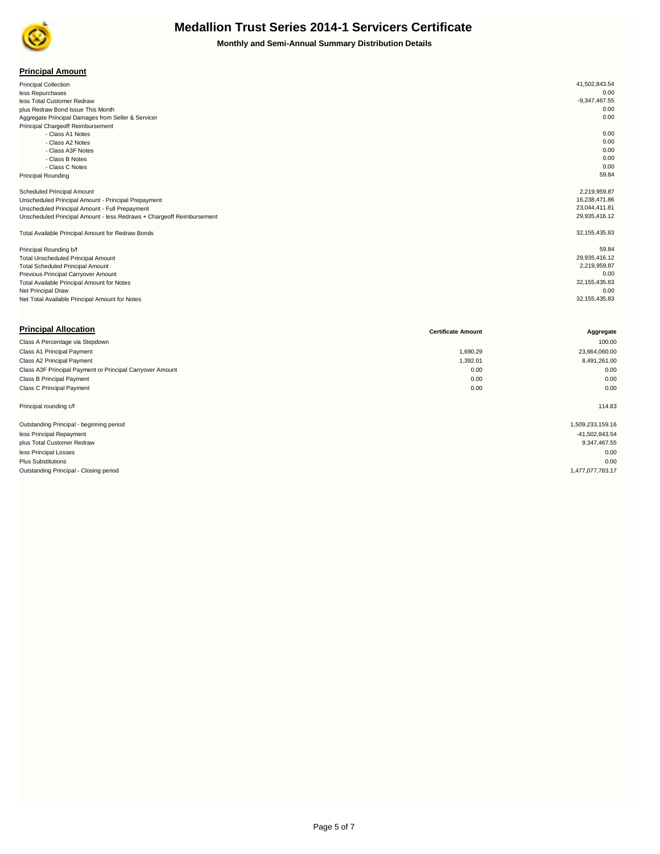

**Monthly and Semi-Annual Summary Distribution Details**

#### **Principal Amount**

| <b>Principal Collection</b>                                           | 41,502,843.54   |
|-----------------------------------------------------------------------|-----------------|
| less Repurchases                                                      | 0.00            |
| less Total Customer Redraw                                            | $-9,347,467.55$ |
| plus Redraw Bond Issue This Month                                     | 0.00            |
| Aggregate Principal Damages from Seller & Servicer                    | 0.00            |
| Principal Chargeoff Reimbursement                                     |                 |
| - Class A1 Notes                                                      | 0.00            |
| - Class A2 Notes                                                      | 0.00            |
| - Class A3F Notes                                                     | 0.00            |
| - Class B Notes                                                       | 0.00            |
| - Class C Notes                                                       | 0.00            |
| <b>Principal Rounding</b>                                             | 59.84           |
| Scheduled Principal Amount                                            | 2,219,959.87    |
| Unscheduled Principal Amount - Principal Prepayment                   | 16,238,471.86   |
| Unscheduled Principal Amount - Full Prepayment                        | 23,044,411.81   |
| Unscheduled Principal Amount - less Redraws + Chargeoff Reimbursement | 29,935,416.12   |
| Total Available Principal Amount for Redraw Bonds                     | 32, 155, 435.83 |
| Principal Rounding b/f                                                | 59.84           |
| <b>Total Unscheduled Principal Amount</b>                             | 29,935,416.12   |
| <b>Total Scheduled Principal Amount</b>                               | 2,219,959.87    |
| Previous Principal Carryover Amount                                   | 0.00            |
| Total Available Principal Amount for Notes                            | 32, 155, 435.83 |
| Net Principal Draw                                                    | 0.00            |
| Net Total Available Principal Amount for Notes                        | 32, 155, 435.83 |

| <b>Principal Allocation</b>                               | <b>Certificate Amount</b> | Aggregate        |
|-----------------------------------------------------------|---------------------------|------------------|
| Class A Percentage via Stepdown                           |                           | 100.00           |
| Class A1 Principal Payment                                | 1,690.29                  | 23,664,060.00    |
| Class A2 Principal Payment                                | 1,392.01                  | 8,491,261.00     |
| Class A3F Principal Payment or Principal Carryover Amount | 0.00                      | 0.00             |
| Class B Principal Payment                                 | 0.00                      | 0.00             |
| <b>Class C Principal Payment</b>                          | 0.00                      | 0.00             |
| Principal rounding c/f                                    |                           | 114.83           |
| Outstanding Principal - beginning period                  |                           | 1,509,233,159.16 |
| less Principal Repayment                                  |                           | -41,502,843.54   |
| plus Total Customer Redraw                                |                           | 9,347,467.55     |
| less Principal Losses                                     |                           | 0.00             |
| <b>Plus Substitutions</b>                                 |                           | 0.00             |
| Outstanding Principal - Closing period                    |                           | 1,477,077,783.17 |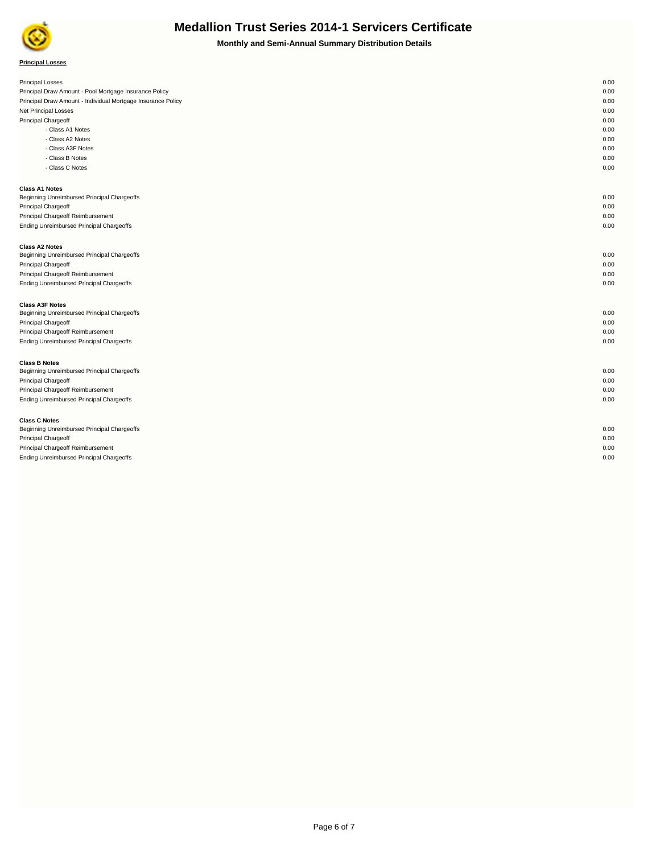

**Monthly and Semi-Annual Summary Distribution Details**

| <b>Principal Losses</b>                                      | 0.00 |
|--------------------------------------------------------------|------|
| Principal Draw Amount - Pool Mortgage Insurance Policy       | 0.00 |
| Principal Draw Amount - Individual Mortgage Insurance Policy | 0.00 |
| Net Principal Losses                                         | 0.00 |
| Principal Chargeoff                                          | 0.00 |
| - Class A1 Notes                                             | 0.00 |
| - Class A2 Notes                                             | 0.00 |
| - Class A3F Notes                                            | 0.00 |
| - Class B Notes                                              | 0.00 |
| - Class C Notes                                              | 0.00 |
| <b>Class A1 Notes</b>                                        |      |
| Beginning Unreimbursed Principal Chargeoffs                  | 0.00 |
| Principal Chargeoff                                          | 0.00 |
| Principal Chargeoff Reimbursement                            | 0.00 |
| Ending Unreimbursed Principal Chargeoffs                     | 0.00 |
| <b>Class A2 Notes</b>                                        |      |
| Beginning Unreimbursed Principal Chargeoffs                  | 0.00 |
| Principal Chargeoff                                          | 0.00 |
| Principal Chargeoff Reimbursement                            | 0.00 |
| Ending Unreimbursed Principal Chargeoffs                     | 0.00 |
| <b>Class A3F Notes</b>                                       |      |
| Beginning Unreimbursed Principal Chargeoffs                  | 0.00 |
| Principal Chargeoff                                          | 0.00 |
| Principal Chargeoff Reimbursement                            | 0.00 |
| Ending Unreimbursed Principal Chargeoffs                     | 0.00 |
| <b>Class B Notes</b>                                         |      |
| Beginning Unreimbursed Principal Chargeoffs                  | 0.00 |
| Principal Chargeoff                                          | 0.00 |
| Principal Chargeoff Reimbursement                            | 0.00 |
| Ending Unreimbursed Principal Chargeoffs                     | 0.00 |
| <b>Class C Notes</b>                                         |      |
| Beginning Unreimbursed Principal Chargeoffs                  | 0.00 |
| Principal Chargeoff                                          | 0.00 |
| Principal Chargeoff Reimbursement                            | 0.00 |
| Ending Unreimbursed Principal Chargeoffs                     | 0.00 |